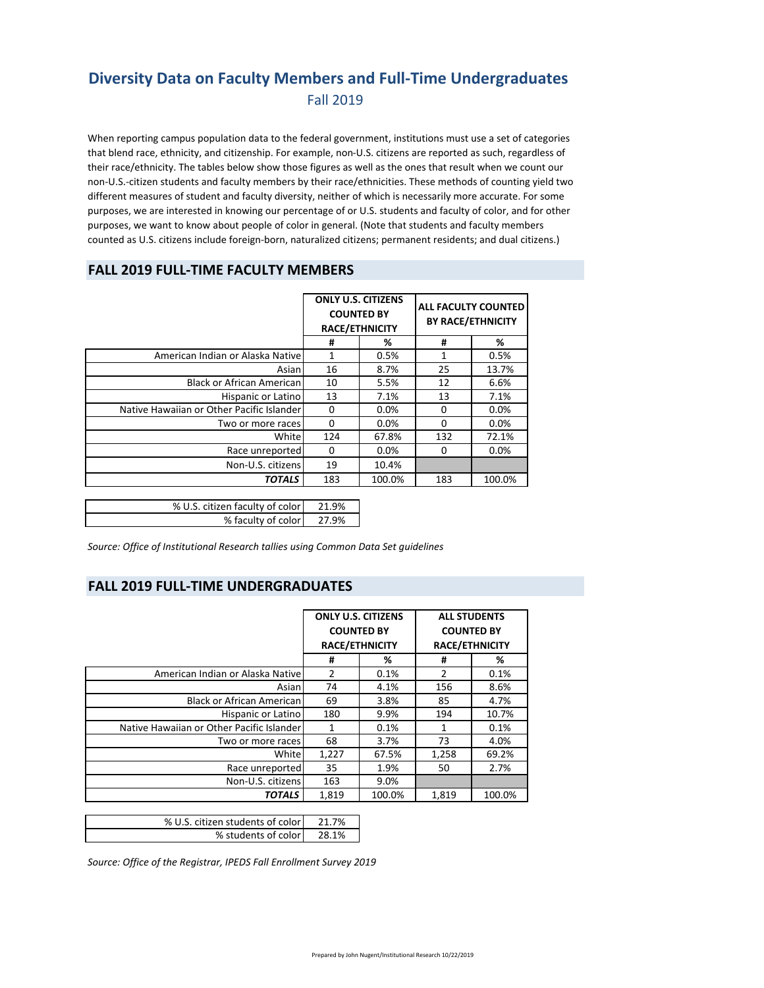#### **Diversity Data on Faculty Members and Full‐Time Undergraduates** Fall 2019

When reporting campus population data to the federal government, institutions must use a set of categories that blend race, ethnicity, and citizenship. For example, non‐U.S. citizens are reported as such, regardless of their race/ethnicity. The tables below show those figures as well as the ones that result when we count our non‐U.S.‐citizen students and faculty members by their race/ethnicities. These methods of counting yield two different measures of student and faculty diversity, neither of which is necessarily more accurate. For some purposes, we are interested in knowing our percentage of or U.S. students and faculty of color, and for other purposes, we want to know about people of color in general. (Note that students and faculty members counted as U.S. citizens include foreign‐born, naturalized citizens; permanent residents; and dual citizens.)

#### **FALL 2019 FULL‐TIME FACULTY MEMBERS**

|                                           | <b>ONLY U.S. CITIZENS</b><br><b>COUNTED BY</b><br><b>RACE/ETHNICITY</b> |        | <b>ALL FACULTY COUNTED</b><br><b>BY RACE/ETHNICITY</b> |         |
|-------------------------------------------|-------------------------------------------------------------------------|--------|--------------------------------------------------------|---------|
|                                           | #                                                                       | %      | #                                                      | %       |
| American Indian or Alaska Native          | 1                                                                       | 0.5%   | 1                                                      | 0.5%    |
| Asian                                     | 16                                                                      | 8.7%   | 25                                                     | 13.7%   |
| <b>Black or African American</b>          | 10                                                                      | 5.5%   | 12                                                     | 6.6%    |
| Hispanic or Latino                        | 13                                                                      | 7.1%   | 13                                                     | 7.1%    |
| Native Hawaiian or Other Pacific Islander | 0                                                                       | 0.0%   | 0                                                      | $0.0\%$ |
| Two or more races                         | 0                                                                       | 0.0%   | 0                                                      | 0.0%    |
| White                                     | 124                                                                     | 67.8%  | 132                                                    | 72.1%   |
| Race unreported                           | 0                                                                       | 0.0%   | 0                                                      | 0.0%    |
| Non-U.S. citizens                         | 19                                                                      | 10.4%  |                                                        |         |
| <b>TOTALS</b>                             | 183                                                                     | 100.0% | 183                                                    | 100.0%  |
|                                           |                                                                         |        |                                                        |         |
| % U.S. citizen faculty of color           | 21 9%                                                                   |        |                                                        |         |

| % faculty of color 27.9% | % U.S. citizen faculty of color | 21.9% |
|--------------------------|---------------------------------|-------|
|                          |                                 |       |

*Source: Office of Institutional Research tallies using Common Data Set guidelines*

#### **FALL 2019 FULL‐TIME UNDERGRADUATES**

|                                           | <b>ONLY U.S. CITIZENS</b><br><b>COUNTED BY</b><br><b>RACE/ETHNICITY</b> |        | <b>COUNTED BY</b> | <b>ALL STUDENTS</b><br><b>RACE/ETHNICITY</b> |
|-------------------------------------------|-------------------------------------------------------------------------|--------|-------------------|----------------------------------------------|
|                                           | #                                                                       | %      | #                 | %                                            |
| American Indian or Alaska Native          | 2                                                                       | 0.1%   | $\overline{2}$    | 0.1%                                         |
| Asianl                                    | 74                                                                      | 4.1%   | 156               | 8.6%                                         |
| <b>Black or African American</b>          | 69                                                                      | 3.8%   | 85                | 4.7%                                         |
| Hispanic or Latino                        | 180                                                                     | 9.9%   | 194               | 10.7%                                        |
| Native Hawaiian or Other Pacific Islander | 1                                                                       | 0.1%   | 1                 | 0.1%                                         |
| Two or more races                         | 68                                                                      | 3.7%   | 73                | 4.0%                                         |
| White                                     | 1,227                                                                   | 67.5%  | 1,258             | 69.2%                                        |
| Race unreported                           | 35                                                                      | 1.9%   | 50                | 2.7%                                         |
| Non-U.S. citizens                         | 163                                                                     | 9.0%   |                   |                                              |
| <b>TOTALS</b>                             | 1,819                                                                   | 100.0% | 1,819             | 100.0%                                       |

| % U.S. citizen students of color | 21.7% |
|----------------------------------|-------|
| % students of color              | 28.1% |

*Source: Office of the Registrar, IPEDS Fall Enrollment Survey 2019*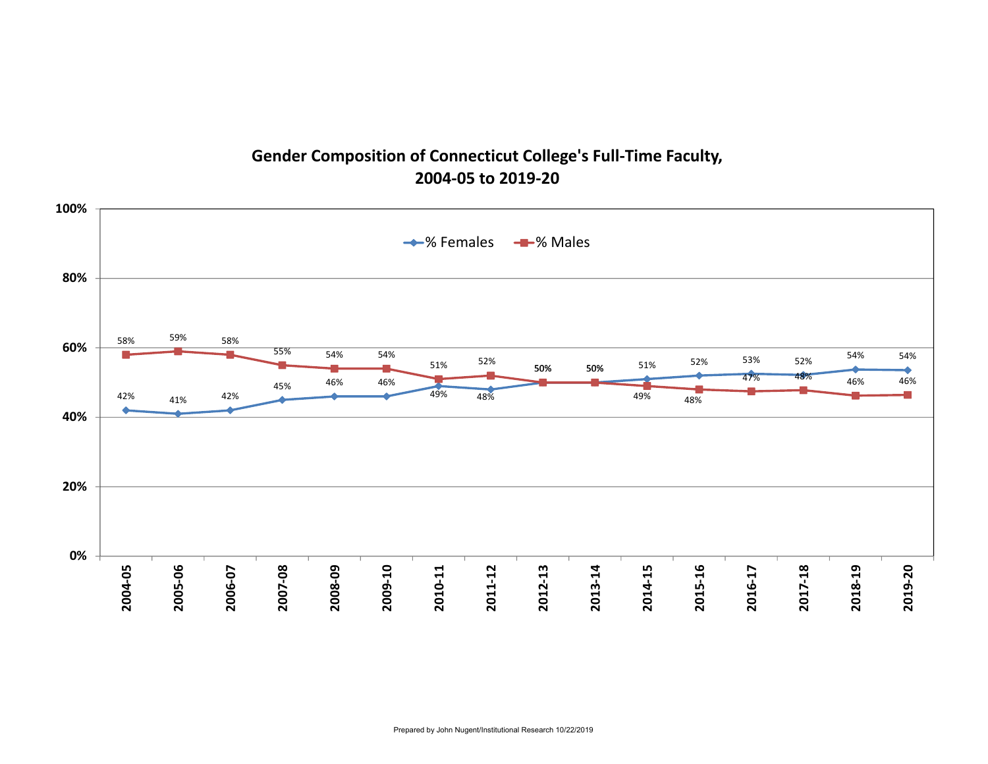### **Gender Composition of Connecticut College's Full‐Time Faculty, 2004‐05 to 2019‐20**

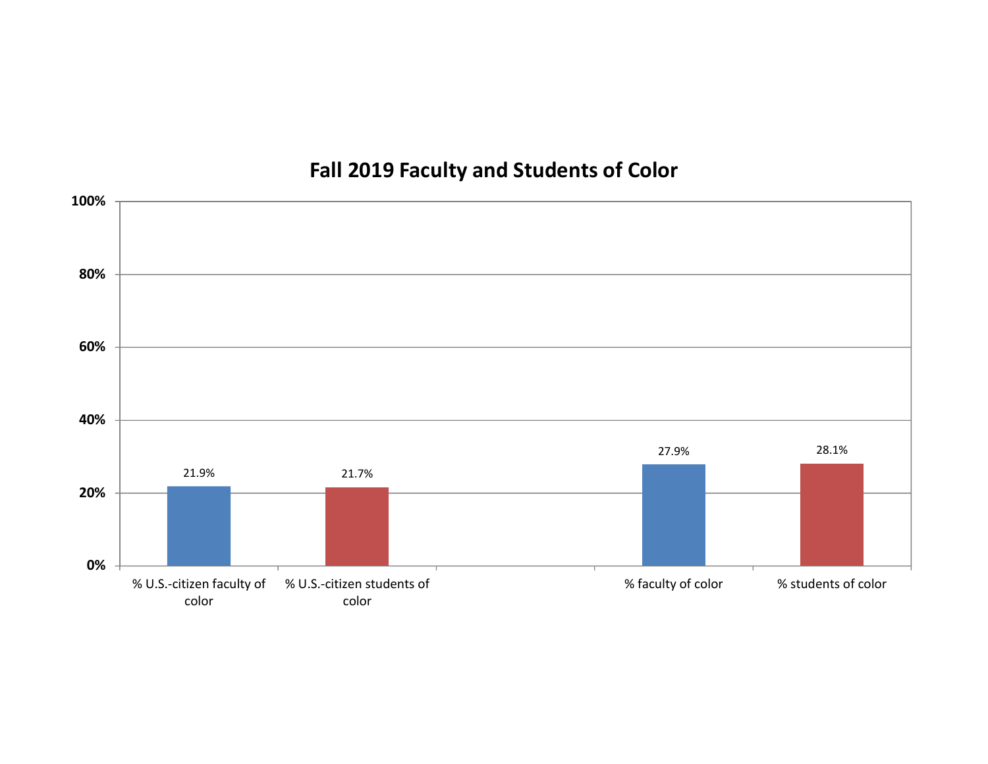# **Fall 2019 Faculty and Students of Color**

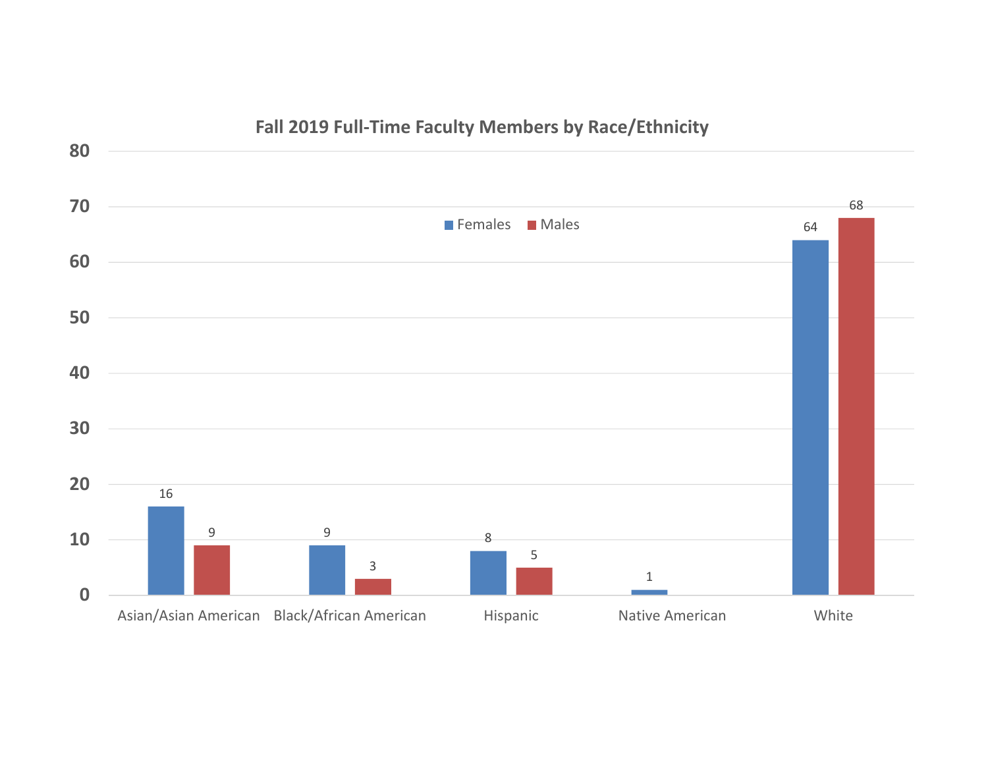

### **Fall 2019 Full‐Time Faculty Members by Race/Ethnicity**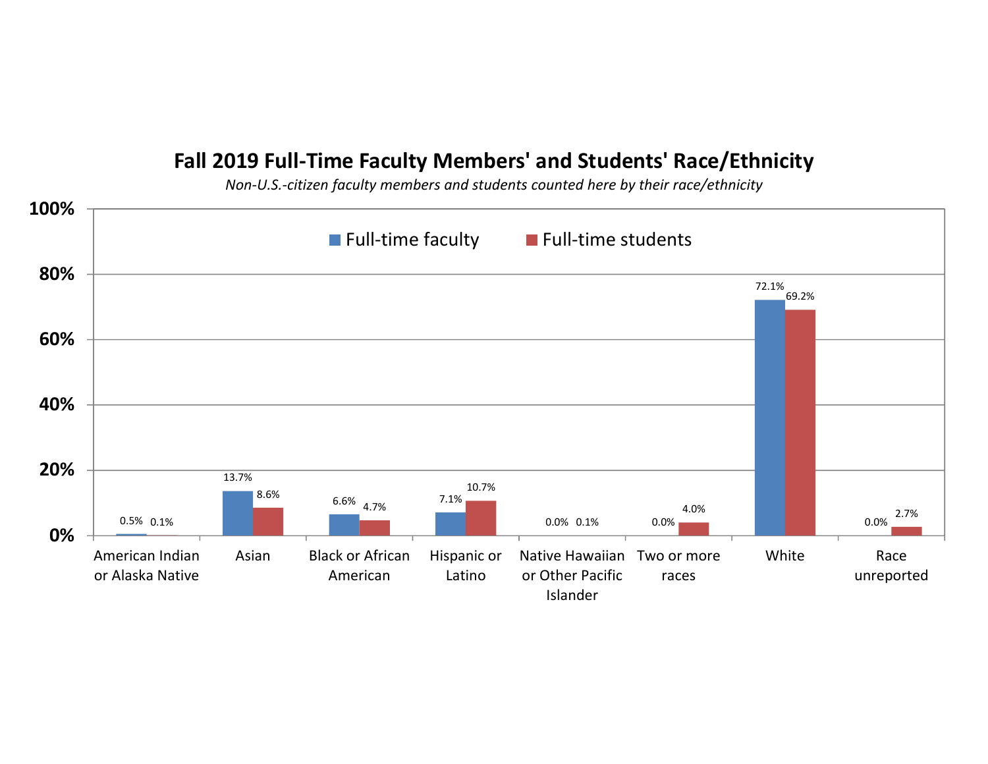## **Fall 2019 Full‐Time Faculty Members' and Students' Race/Ethnicity**

*Non‐U.S.‐citizen faculty members and students counted here by their race/ethnicity*

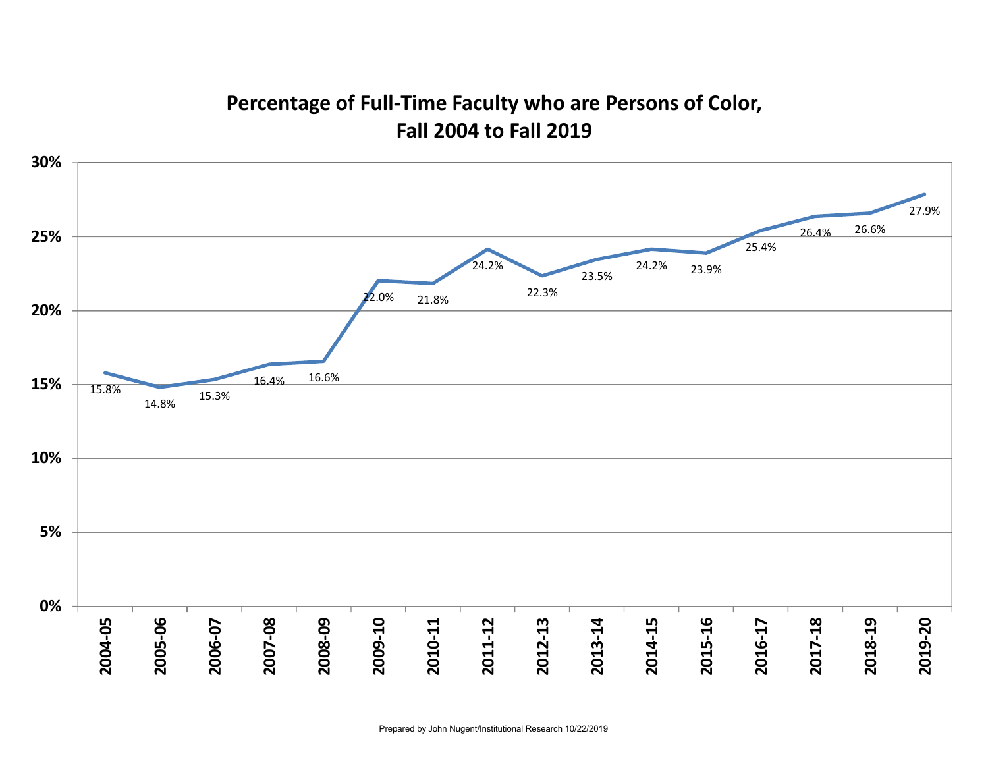## **Percentage of Full‐Time Faculty who are Persons of Color, Fall 2004 to Fall 2019**

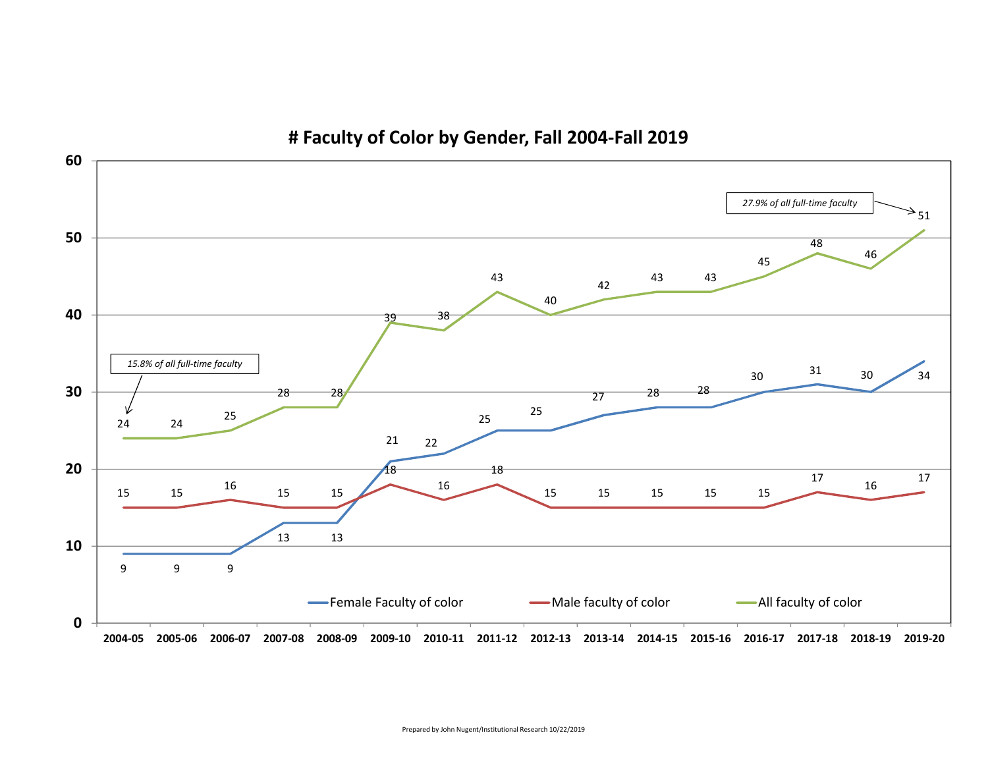

**# Faculty of Color by Gender, Fall 2004‐Fall 2019**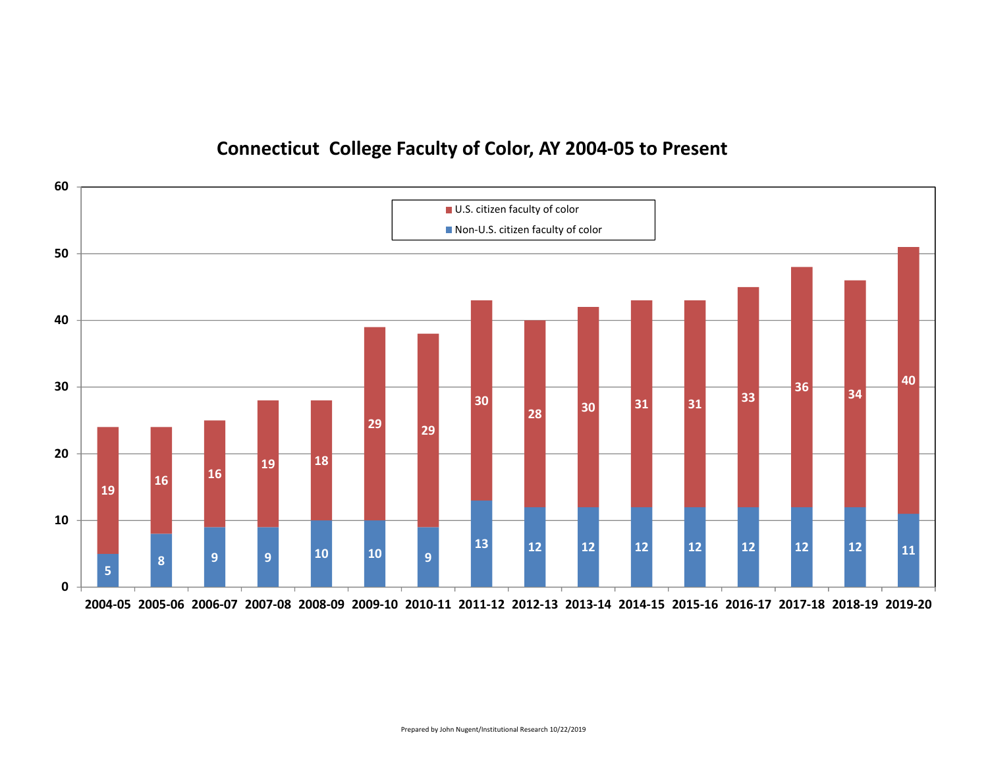## **Connecticut College Faculty of Color, AY 2004‐05 to Present**

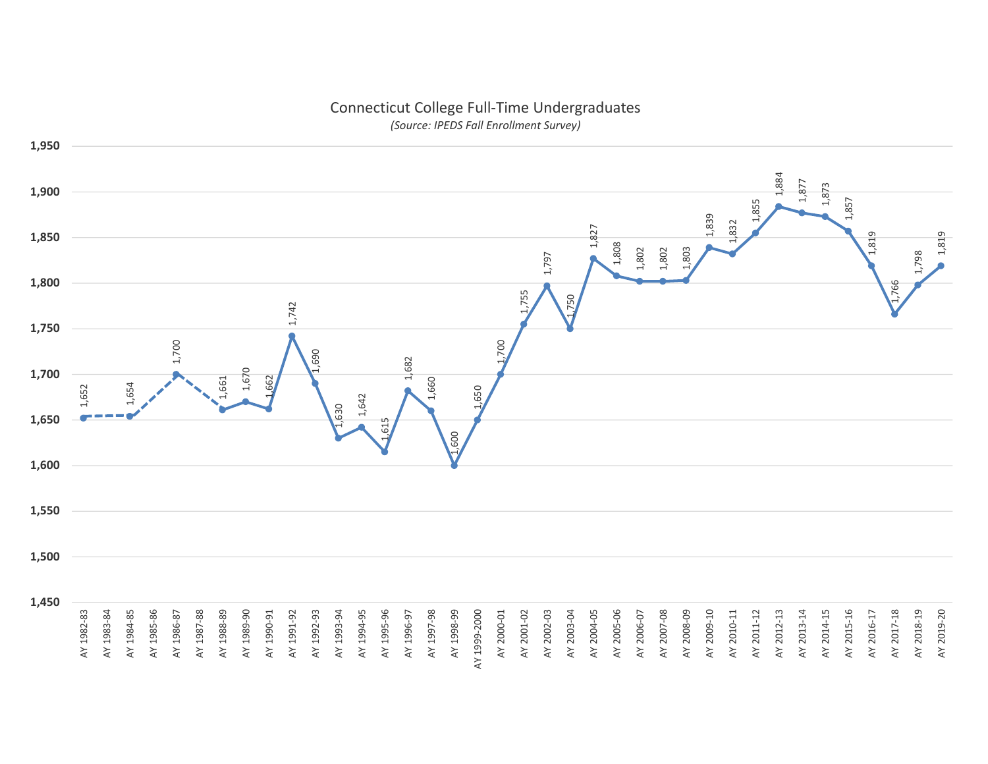

# Connecticut College Full‐Time Undergraduates

*(Source: IPEDS Fall Enrollment Survey)*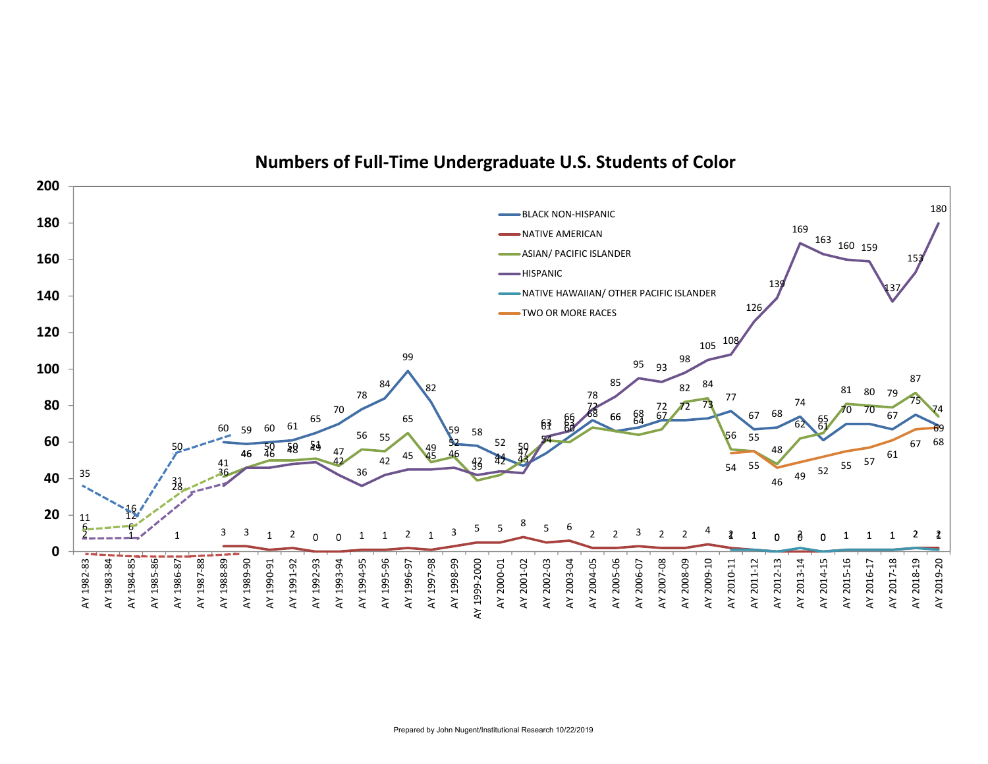

#### **Numbers of Full‐Time Undergraduate U.S. Students of Color**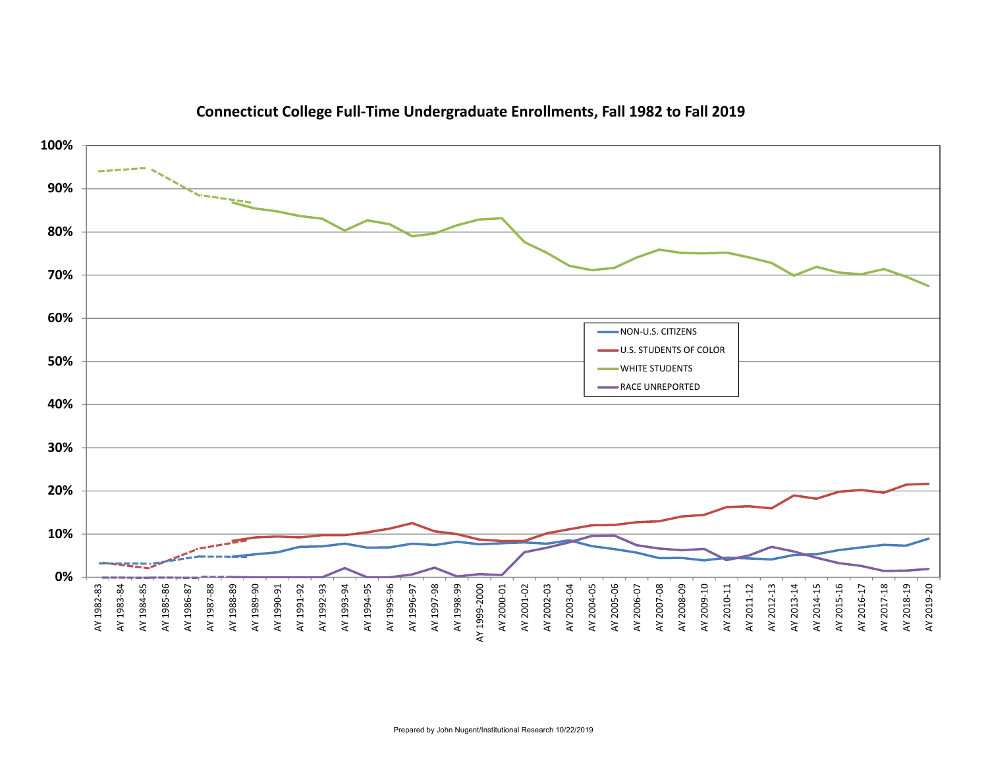

#### **Connecticut College Full‐Time Undergraduate Enrollments, Fall 1982 to Fall 2019**